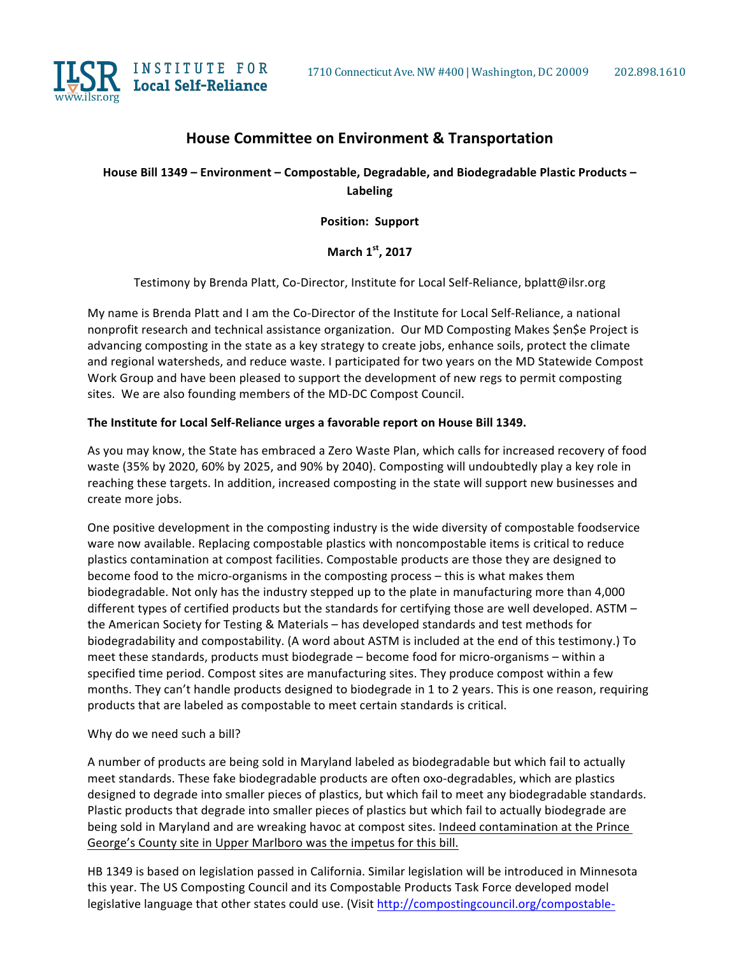

# **House Committee on Environment & Transportation**

House Bill 1349 - Environment - Compostable, Degradable, and Biodegradable Plastic Products -**Labeling**

**Position: Support**

**March 1st, 2017**

Testimony by Brenda Platt, Co-Director, Institute for Local Self-Reliance, bplatt@ilsr.org

My name is Brenda Platt and I am the Co-Director of the Institute for Local Self-Reliance, a national nonprofit research and technical assistance organization. Our MD Composting Makes \$en\$e Project is advancing composting in the state as a key strategy to create jobs, enhance soils, protect the climate and regional watersheds, and reduce waste. I participated for two years on the MD Statewide Compost Work Group and have been pleased to support the development of new regs to permit composting sites. We are also founding members of the MD-DC Compost Council.

#### The Institute for Local Self-Reliance urges a favorable report on House Bill 1349.

As you may know, the State has embraced a Zero Waste Plan, which calls for increased recovery of food waste (35% by 2020, 60% by 2025, and 90% by 2040). Composting will undoubtedly play a key role in reaching these targets. In addition, increased composting in the state will support new businesses and create more jobs.

One positive development in the composting industry is the wide diversity of compostable foodservice ware now available. Replacing compostable plastics with noncompostable items is critical to reduce plastics contamination at compost facilities. Compostable products are those they are designed to become food to the micro-organisms in the composting process – this is what makes them biodegradable. Not only has the industry stepped up to the plate in manufacturing more than 4,000 different types of certified products but the standards for certifying those are well developed. ASTM the American Society for Testing & Materials – has developed standards and test methods for biodegradability and compostability. (A word about ASTM is included at the end of this testimony.) To meet these standards, products must biodegrade - become food for micro-organisms - within a specified time period. Compost sites are manufacturing sites. They produce compost within a few months. They can't handle products designed to biodegrade in 1 to 2 years. This is one reason, requiring products that are labeled as compostable to meet certain standards is critical.

#### Why do we need such a bill?

A number of products are being sold in Maryland labeled as biodegradable but which fail to actually meet standards. These fake biodegradable products are often oxo-degradables, which are plastics designed to degrade into smaller pieces of plastics, but which fail to meet any biodegradable standards. Plastic products that degrade into smaller pieces of plastics but which fail to actually biodegrade are being sold in Maryland and are wreaking havoc at compost sites. Indeed contamination at the Prince George's County site in Upper Marlboro was the impetus for this bill.

HB 1349 is based on legislation passed in California. Similar legislation will be introduced in Minnesota this year. The US Composting Council and its Compostable Products Task Force developed model legislative language that other states could use. (Visit http://compostingcouncil.org/compostable